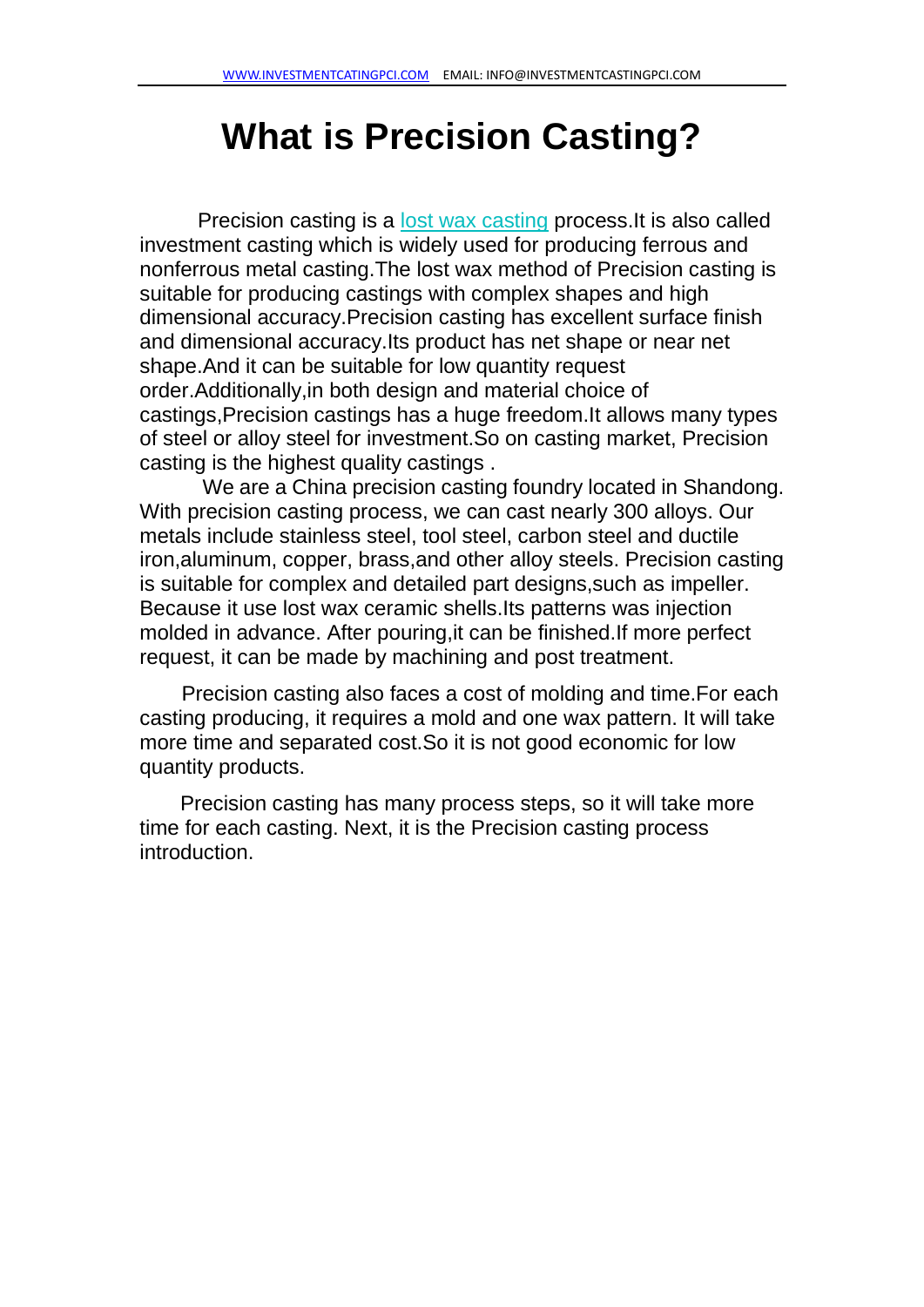# **What is Precision Casting?**

Precision casting is a <u>[lost wax casting](https://www.investmentcastingpci.com/blog/stainless-steel-lost-wax-casting-process/)</u> process. It is also called investment casting which is widely used for producing ferrous and nonferrous metal casting.The lost wax method of Precision casting is suitable for producing castings with complex shapes and high dimensional accuracy.Precision casting has excellent surface finish and dimensional accuracy.Its product has net shape or near net shape.And it can be suitable for low quantity request order.Additionally,in both design and material choice of castings,Precision castings has a huge freedom.It allows many types of steel or alloy steel for investment.So on casting market, Precision casting is the highest quality castings .

We are a China precision casting foundry located in Shandong. With precision casting process, we can cast nearly 300 alloys. Our metals include stainless steel, tool steel, carbon steel and ductile iron,aluminum, copper, brass,and other alloy steels. Precision casting is suitable for complex and detailed part designs,such as impeller. Because it use lost wax ceramic shells.Its patterns was injection molded in advance. After pouring,it can be finished.If more perfect request, it can be made by machining and post treatment.

 Precision casting also faces a cost of molding and time.For each casting producing, it requires a mold and one wax pattern. It will take more time and separated cost.So it is not good economic for low quantity products.

Precision casting has many process steps, so it will take more time for each casting. Next, it is the Precision casting process introduction.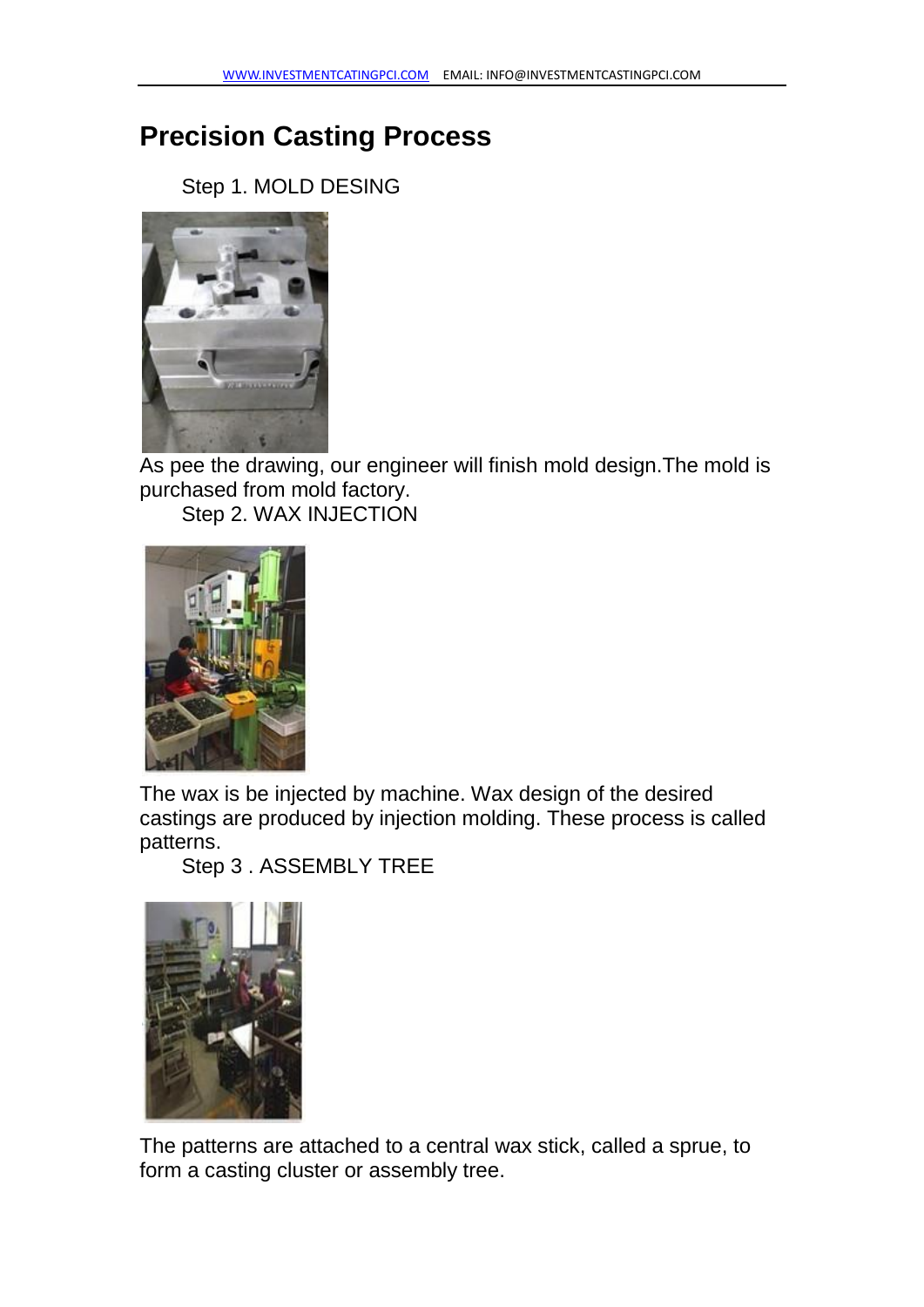## **Precision Casting Process**

Step 1. MOLD DESING



As pee the drawing, our engineer will finish mold design.The mold is purchased from mold factory.

Step 2. WAX INJECTION



The wax is be injected by machine. Wax design of the desired castings are produced by injection molding. These process is called patterns.

Step 3 . ASSEMBLY TREE



The patterns are attached to a central wax stick, called a sprue, to form a casting cluster or assembly tree.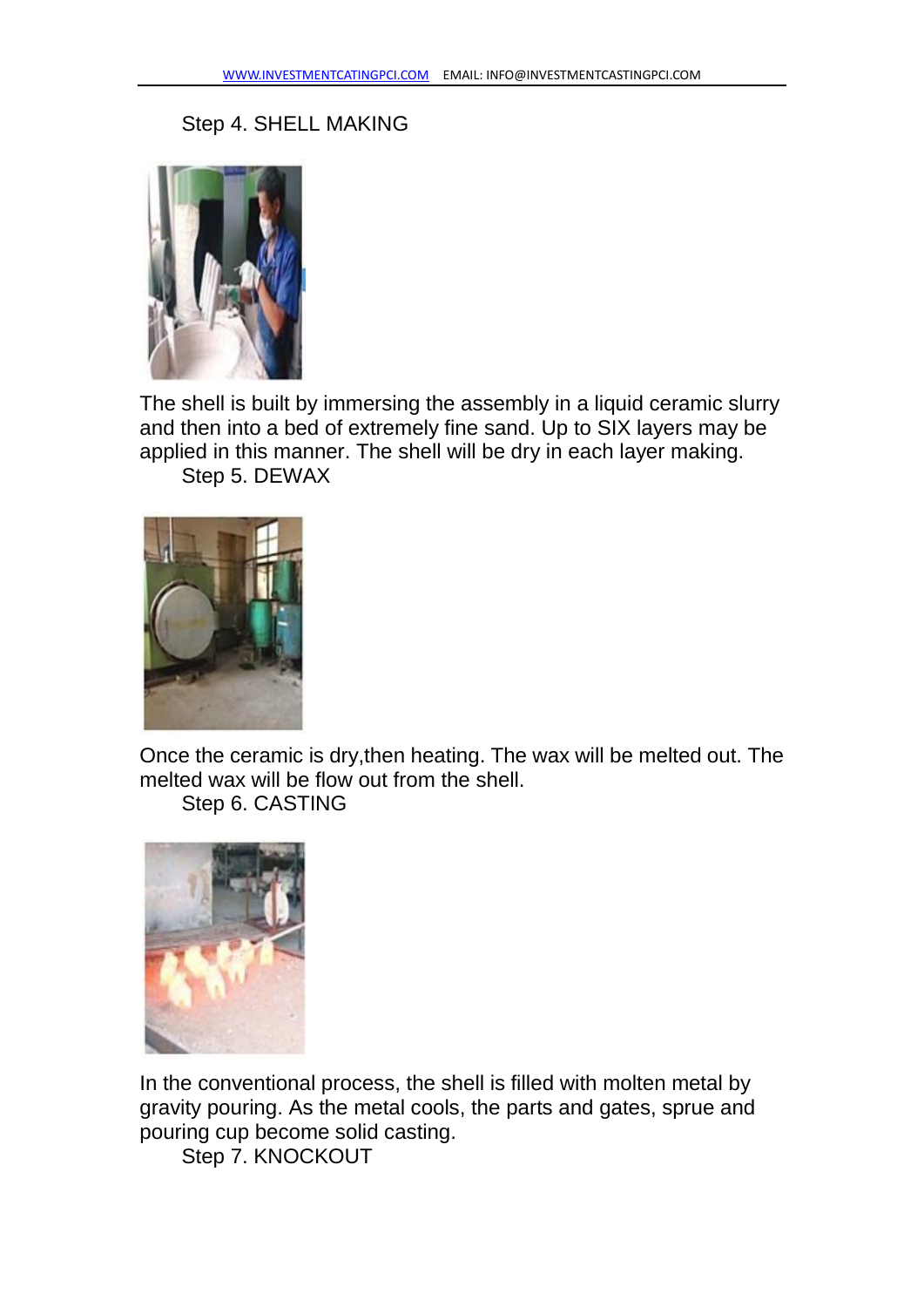#### Step 4. SHELL MAKING



The shell is built by immersing the assembly in a liquid ceramic slurry and then into a bed of extremely fine sand. Up to SIX layers may be applied in this manner. The shell will be dry in each layer making.

Step 5. DEWAX



Once the ceramic is dry,then heating. The wax will be melted out. The melted wax will be flow out from the shell.

Step 6. CASTING



In the conventional process, the shell is filled with molten metal by gravity pouring. As the metal cools, the parts and gates, sprue and pouring cup become solid casting.

Step 7. KNOCKOUT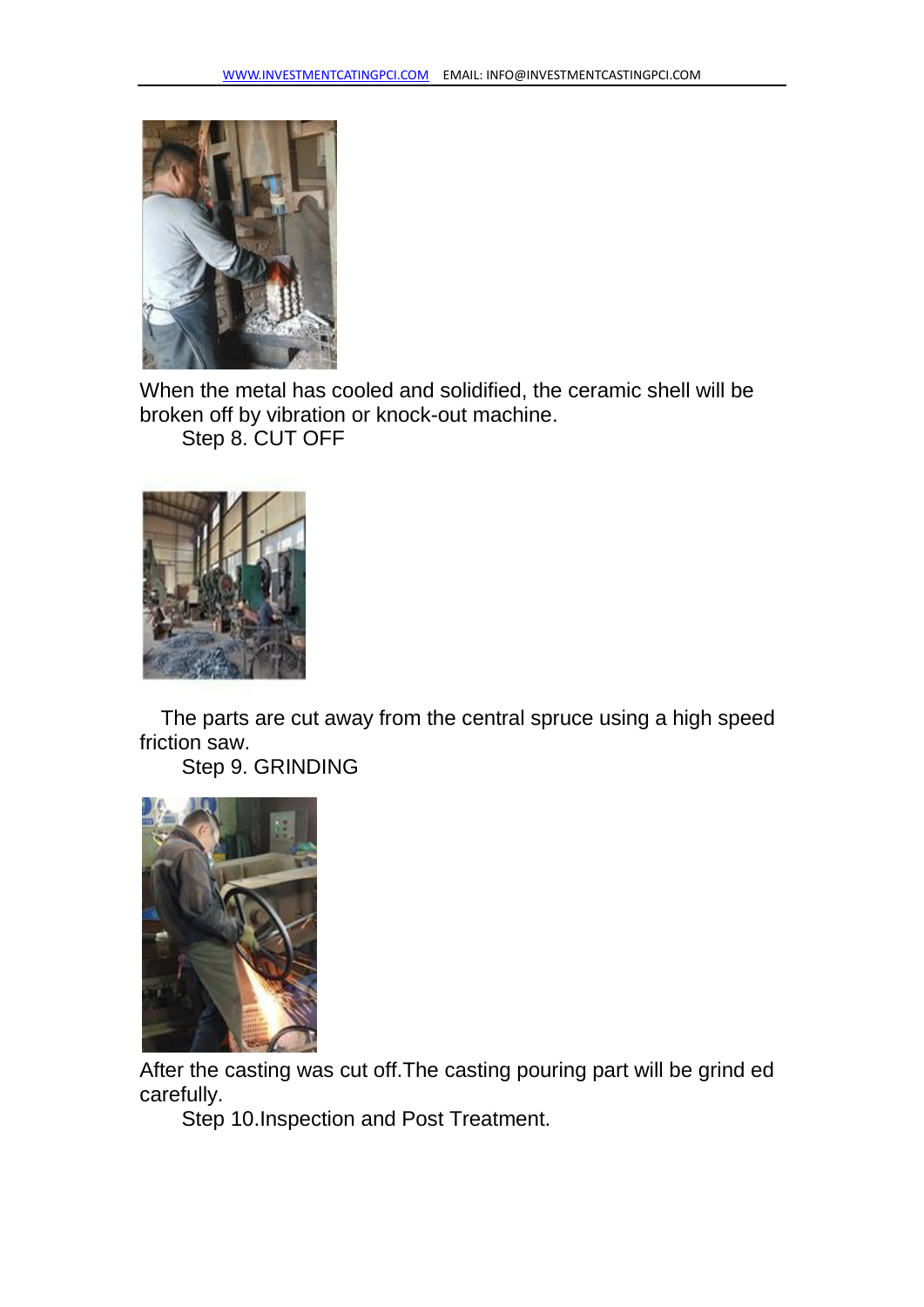

When the metal has cooled and solidified, the ceramic shell will be broken off by vibration or knock-out machine. Step 8. CUT OFF



The parts are cut away from the central spruce using a high speed friction saw.

Step 9. GRINDING



After the casting was cut off.The casting pouring part will be grind ed carefully.

Step 10.Inspection and Post Treatment.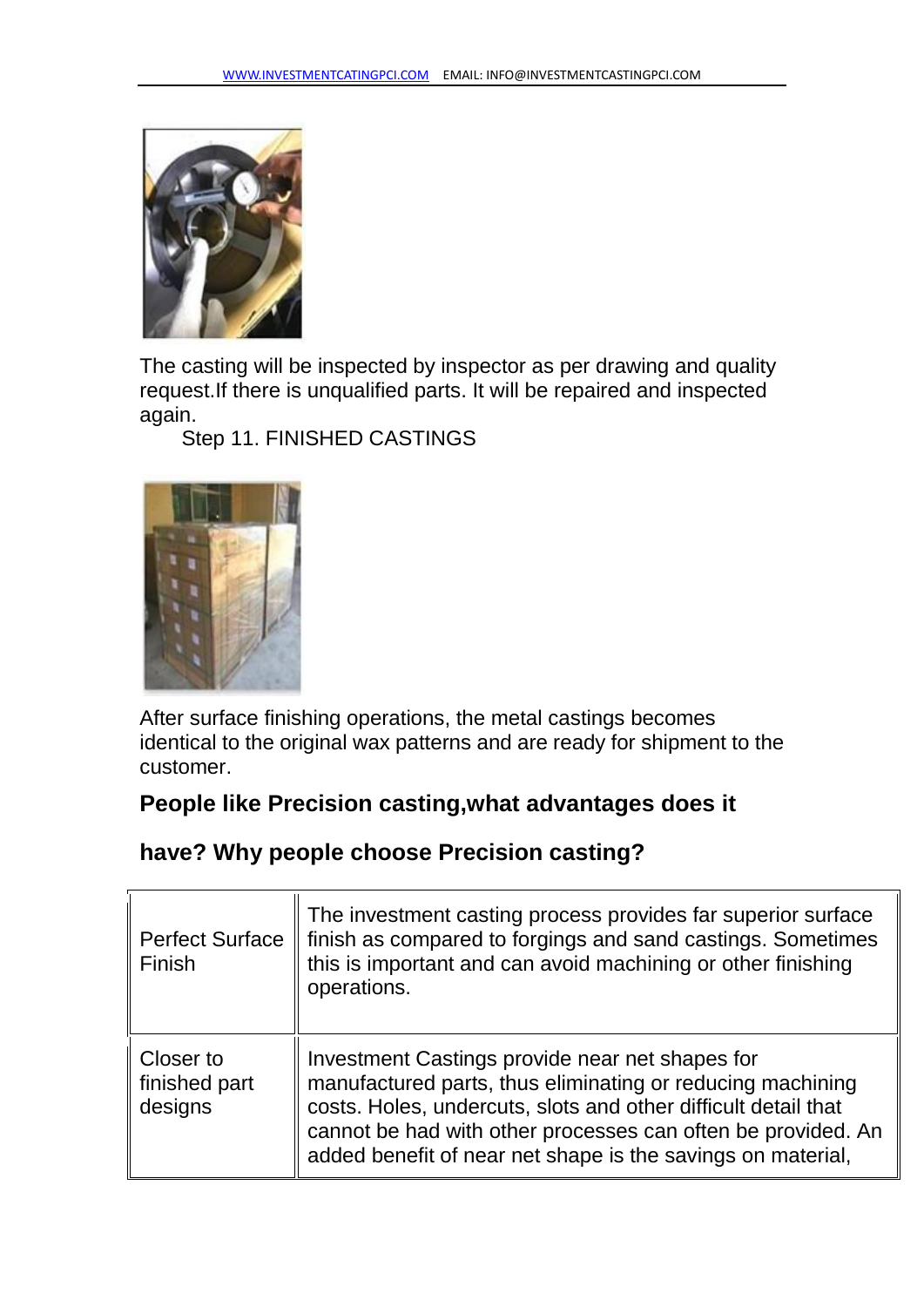

The casting will be inspected by inspector as per drawing and quality request.If there is unqualified parts. It will be repaired and inspected again.

Step 11. FINISHED CASTINGS



After surface finishing operations, the metal castings becomes identical to the original wax patterns and are ready for shipment to the customer.

### **People like Precision casting,what advantages does it**

### **have? Why people choose Precision casting?**

| <b>Perfect Surface</b><br>Finish      | The investment casting process provides far superior surface<br>finish as compared to forgings and sand castings. Sometimes<br>this is important and can avoid machining or other finishing<br>operations.                                                                                                     |
|---------------------------------------|----------------------------------------------------------------------------------------------------------------------------------------------------------------------------------------------------------------------------------------------------------------------------------------------------------------|
| Closer to<br>finished part<br>designs | Investment Castings provide near net shapes for<br>manufactured parts, thus eliminating or reducing machining<br>costs. Holes, undercuts, slots and other difficult detail that<br>cannot be had with other processes can often be provided. An<br>added benefit of near net shape is the savings on material, |